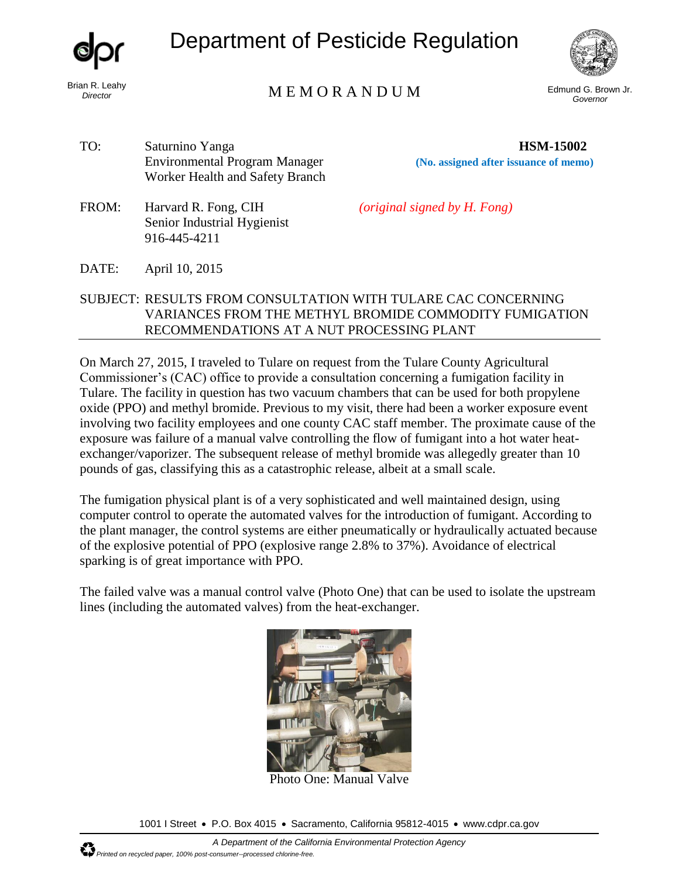Department of Pesticide Regulation



## Brian R. Leahy<br>*Director* Edmund G. Brown Jr. **Example 2008** M E M O R A N D U M

*Governor* 

**HSM-15002** 

- TO: Saturnino Yanga Environmental Program Manager Worker Health and Safety Branch
- FROM: Harvard R. Fong, CIH Senior Industrial Hygienist 916-445-4211

*(original signed by H. Fong)*

**(No. assigned after issuance of memo)**

## DATE: April 10, 2015

## SUBJECT: RESULTS FROM CONSULTATION WITH TULARE CAC CONCERNING VARIANCES FROM THE METHYL BROMIDE COMMODITY FUMIGATION RECOMMENDATIONS AT A NUT PROCESSING PLANT

On March 27, 2015, I traveled to Tulare on request from the Tulare County Agricultural Commissioner's (CAC) office to provide a consultation concerning a fumigation facility in Tulare. The facility in question has two vacuum chambers that can be used for both propylene oxide (PPO) and methyl bromide. Previous to my visit, there had been a worker exposure event involving two facility employees and one county CAC staff member. The proximate cause of the exposure was failure of a manual valve controlling the flow of fumigant into a hot water heatexchanger/vaporizer. The subsequent release of methyl bromide was allegedly greater than 10 pounds of gas, classifying this as a catastrophic release, albeit at a small scale.

The fumigation physical plant is of a very sophisticated and well maintained design, using computer control to operate the automated valves for the introduction of fumigant. According to the plant manager, the control systems are either pneumatically or hydraulically actuated because of the explosive potential of PPO (explosive range 2.8% to 37%). Avoidance of electrical sparking is of great importance with PPO.

The failed valve was a manual control valve (Photo One) that can be used to isolate the upstream lines (including the automated valves) from the heat-exchanger.



Photo One: Manual Valve

1001 I Street • P.O. Box 4015 • Sacramento, California 95812-4015 • www.cdpr.ca.gov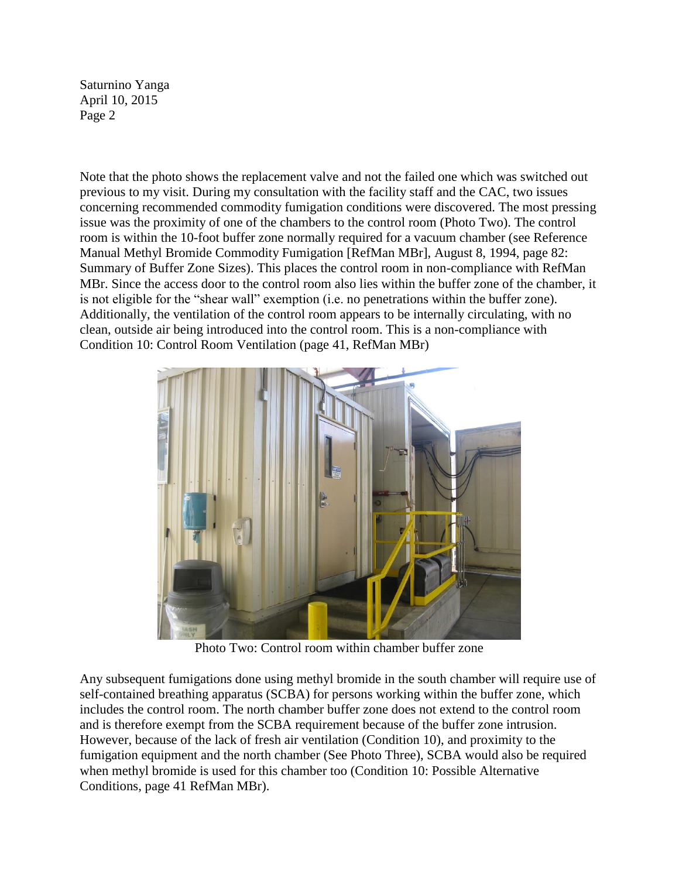Saturnino Yanga April 10, 2015 Page 2

Note that the photo shows the replacement valve and not the failed one which was switched out previous to my visit. During my consultation with the facility staff and the CAC, two issues concerning recommended commodity fumigation conditions were discovered. The most pressing issue was the proximity of one of the chambers to the control room (Photo Two). The control room is within the 10-foot buffer zone normally required for a vacuum chamber (see Reference Manual Methyl Bromide Commodity Fumigation [RefMan MBr], August 8, 1994, page 82: Summary of Buffer Zone Sizes). This places the control room in non-compliance with RefMan MBr. Since the access door to the control room also lies within the buffer zone of the chamber, it is not eligible for the "shear wall" exemption (i.e. no penetrations within the buffer zone). Additionally, the ventilation of the control room appears to be internally circulating, with no clean, outside air being introduced into the control room. This is a non-compliance with Condition 10: Control Room Ventilation (page 41, RefMan MBr)



Photo Two: Control room within chamber buffer zone

Any subsequent fumigations done using methyl bromide in the south chamber will require use of self-contained breathing apparatus (SCBA) for persons working within the buffer zone, which includes the control room. The north chamber buffer zone does not extend to the control room and is therefore exempt from the SCBA requirement because of the buffer zone intrusion. However, because of the lack of fresh air ventilation (Condition 10), and proximity to the fumigation equipment and the north chamber (See Photo Three), SCBA would also be required when methyl bromide is used for this chamber too (Condition 10: Possible Alternative Conditions, page 41 RefMan MBr).